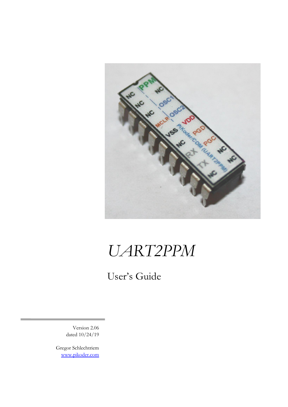

### *UART2PPM*

User's Guide

Version 2.06 dated 10/24/19

Gregor Schlechtriem [www.pikoder.com](http://www.pikoder.com/)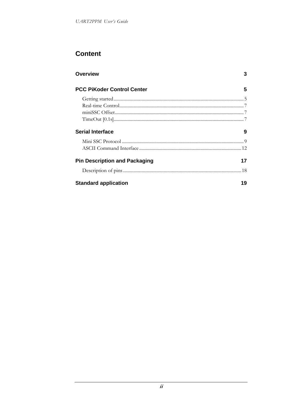### **Content**

| <b>Overview</b>                      |    |
|--------------------------------------|----|
| <b>PCC PiKoder Control Center</b>    | 5  |
|                                      |    |
|                                      |    |
|                                      |    |
|                                      |    |
| <b>Serial Interface</b>              | 9  |
|                                      |    |
|                                      |    |
| <b>Pin Description and Packaging</b> | 17 |
|                                      |    |
| <b>Standard application</b>          | 19 |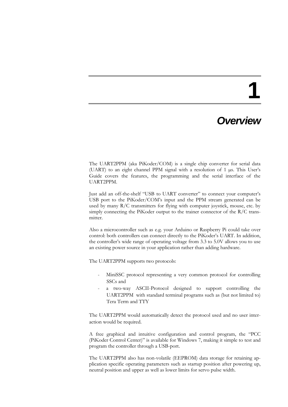### **1**

### *Overview*

The UART2PPM (aka PiKoder/COM) is a single chip converter for serial data (UART) to an eight channel PPM signal with a resolution of 1 µs. This User's Guide covers the features, the programming and the serial interface of the UART2PPM.

Just add an off-the-shelf "USB to UART converter" to connect your computer's USB port to the PiKoder/COM's input and the PPM stream generated can be used by many R/C transmitters for flying with computer joystick, mouse, etc. by simply connecting the PiKoder output to the trainer connector of the R/C transmitter.

Also a microcontroller such as e.g. your Arduino or Raspberry Pi could take over control: both controllers can connect directly to the PiKoder's UART. In addition, the controller's wide range of operating voltage from 3.3 to 5.0V allows you to use an existing power source in your application rather than adding hardware.

The UART2PPM supports two protocols:

- MiniSSC protocol representing a very common protocol for controlling SSCs and
- a two-way ASCII-Protocol designed to support controlling the UART2PPM with standard terminal programs such as (but not limited to) Tera Term and TTY

The UART2PPM would automatically detect the protocol used and no user interaction would be required.

A free graphical and intuitive configuration and control program, the "PCC (PiKoder Control Center)" is available for Windows 7, making it simple to test and program the controller through a USB-port.

The UART2PPM also has non-volatile (EEPROM) data storage for retaining application specific operating parameters such as startup position after powering up, neutral position and upper as well as lower limits for servo pulse width.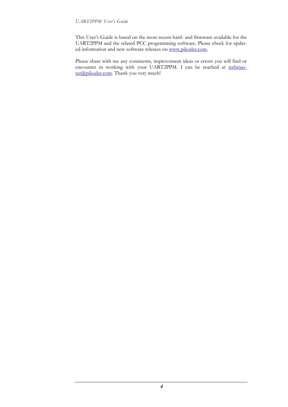This User's Guide is based on the most recent hard- and firmware available for the UART2PPM and the related PCC programming software. Please check for updated information and new software releases on [www.pikoder.com.](http://www.pikoder.com/)

Please share with me any comments, improvement ideas or errors you will find or encounter in working with your UART2PPM. I can be reached at [webmas](mailto:webmaster@pikoder.com) $t$ er@pikoder.com. Thank you very much!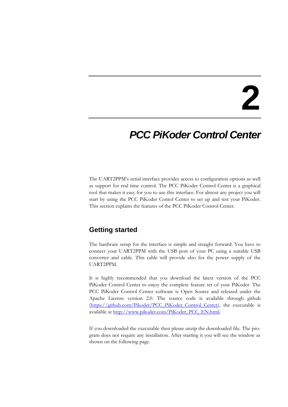### **2**

### *PCC PiKoder Control Center*

The UART2PPM's serial interface provides access to configuration options as well as support for real time control. The PCC PiKoder Control Center is a graphical tool that makes it easy for you to use this interface. For almost any project you will start by using the PCC PiKoder Contol Center to set up and test your PiKoder. This section explains the features of the PCC PiKoder Control Center.

#### **Getting started**

The hardware setup for the interface is simple and straight forward: You have to connect your UART2PPM with the USB port of your PC using a suitable USB converter and cable. This cable will provide also for the power supply of the UART2PPM.

It is highly recommended that you download the latest version of the PCC PiKoder Control Center to enjoy the complete feature set of your PiKoder. The PCC PiKoder Control Center software is Open Source and released under the Apache License version 2.0. The source code is available through github [\(https://github.com/Pikoder/PCC\\_PiKoder\\_Control\\_Center\)](https://github.com/Pikoder/PCC_PiKoder_Control_Center), the executable is available at [http://www.pikoder.com/PiKoder\\_PCC\\_EN.html.](http://www.pikoder.com/PiKoder_PCC_EN.html)

If you downloaded the executable then please unzip the downloaded file. The program does not require any installation. After starting it you will see the window as shown on the following page.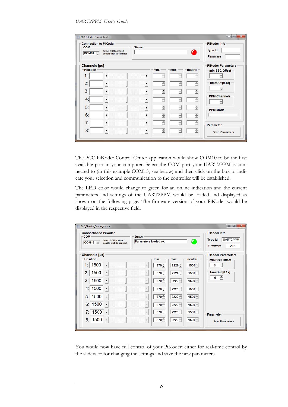| <b>Connection to PiKoder</b><br><b>COM</b><br>$COM10 \quad \hat{ }$ | Select COM port and<br>double click to connect | <b>Status</b>         |      |                      |      | $\bullet$ | <b>PiKoder Info</b><br><b>Type Id</b><br><b>Firmware</b> |
|---------------------------------------------------------------------|------------------------------------------------|-----------------------|------|----------------------|------|-----------|----------------------------------------------------------|
| <b>Channels</b> [µs]<br><b>Position</b>                             |                                                |                       | min. |                      | max. | neutral   | <b>PiKoder Parameters</b><br>miniSSC Offset              |
| 1:                                                                  |                                                | ٠                     |      | ÷                    | ÷    | $\div$    | ÷                                                        |
| 2:                                                                  |                                                | $\blacktriangleright$ |      | ÷                    | ÷    | $\div$    | TimeOut [0.1s]                                           |
| 3:                                                                  |                                                | ٠                     |      | $\frac{1}{\sqrt{2}}$ | ÷    | ÷         | $\div$                                                   |
| 41                                                                  |                                                | ٠                     |      | ÷                    | ÷    | $\div$    | <b>PPM-Channels</b><br>÷                                 |
| 5:                                                                  |                                                | $\blacktriangleright$ |      | Ė                    | Ė    | $\div$    | <b>PPM-Mode</b>                                          |
| 6:                                                                  |                                                | ٠                     |      | ÷                    | Ė    | $\div$    |                                                          |
| 7:                                                                  |                                                | ٠                     |      | E                    | Ė    | Ė         | Parameter                                                |
| 8 <sup>°</sup>                                                      |                                                | ٠                     |      | ÷                    | Ė    | ÷         | <b>Save Parameters</b>                                   |

The PCC PiKoder Control Center application would show COM10 to be the first available port in your computer. Select the COM port your UART2PPM is connected to (in this example COM15, see below) and then click on the box to indicate your selection and communication to the controller will be established.

The LED color would change to green for an online indication and the current parameters and settings of the UART2PPM would be loaded and displayed as shown on the following page. The firmware version of your PiKoder would be displayed in the respective field.

| $\overline{\mathbf{x}}$<br><u>— 0.</u><br>PCC PiKoder Control Center<br><b>Connection to PiKoder</b><br><b>PiKoder Info</b> |                          |                                    |  |  |
|-----------------------------------------------------------------------------------------------------------------------------|--------------------------|------------------------------------|--|--|
| <b>COM</b><br>Select COM port and                                                                                           | <b>Status</b>            | <b>UART2PPM</b><br><b>Type Id</b>  |  |  |
| COM <sub>15</sub> $\angle$<br>double click to connect                                                                       | Parameters loaded ok.    | Œ<br><b>Firmware</b><br>2.01       |  |  |
| <b>Channels</b> [µs]                                                                                                        |                          | <b>PiKoder Parameters</b>          |  |  |
| <b>Position</b>                                                                                                             | min.<br>max.             | neutral<br>miniSSC Offset          |  |  |
| 1500<br>1:                                                                                                                  | $870 -$<br>$2220 -$<br>٠ | ÷<br>$1500 -$<br>0                 |  |  |
| 1500<br>2:                                                                                                                  | $870 -$<br>$2220 -$<br>٠ | TimeOut [0.1s]<br>$1500 -$         |  |  |
| 3: I<br>1500                                                                                                                | $870 -$<br>$2220 -$<br>٠ | ÷<br>0<br>$1500 -$                 |  |  |
| 1500<br>4:1                                                                                                                 | $870 -$<br>$2220 -$<br>٠ | $1500 -$                           |  |  |
| 1500<br>5:                                                                                                                  | $870 -$<br>$2220 -$<br>¥ | $1500 -$                           |  |  |
| 1500<br>6:                                                                                                                  | $870 -$<br>$2220 -$<br>r | $1500 -$                           |  |  |
| 1500<br>7:                                                                                                                  | $870 -$<br>$2220 -$<br>٠ | $1500 -$<br>Parameter              |  |  |
| 1500<br>8:                                                                                                                  | $870 -$<br>$2220 -$<br>٠ | $1500 -$<br><b>Save Parameters</b> |  |  |

You would now have full control of your PiKoder: either for real-time control by the sliders or for changing the settings and save the new parameters.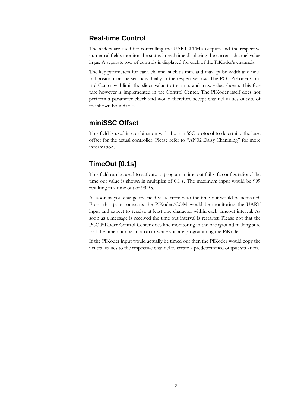### **Real-time Control**

The sliders are used for controlling the UART2PPM's outputs and the respective numerical fields monitor the status in real time displaying the current channel value in µs. A separate row of controls is displayed for each of the PiKoder's channels.

The key parameters for each channel such as min. and max. pulse width and neutral position can be set individually in the respective row. The PCC PiKoder Control Center will limit the slider value to the min. and max. value shown. This feature however is implemented in the Control Center. The PiKoder itself does not perform a parameter check and would therefore accept channel values outsite of the shown boundaries.

#### **miniSSC Offset**

This field is used in combination with the miniSSC protocol to determine the base offset for the actual controller. Please refer to "AN02 Daisy Chanining" for more information.

### **TimeOut [0.1s]**

This field can be used to activate to program a time out fail safe configuration. The time out value is shown in multiples of 0.1 s. The maximum input would be 999 resulting in a time out of 99.9 s.

As soon as you change the field value from zero the time out would be activated. From this point onwards the PiKoder/COM would be monitoring the UART input and expect to receive at least one character within each timeout interval. As soon as a meesage is received the time out interval is restartet. Please not that the PCC PiKoder Control Center does line monitoring in the background making sure that the time out does not occur while you are programming the PiKoder.

If the PiKoder input would actually be timed out then the PiKoder would copy the neutral values to the respective channel to create a predetermined output situation.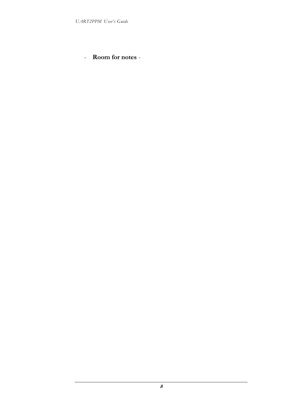- **Room for notes** -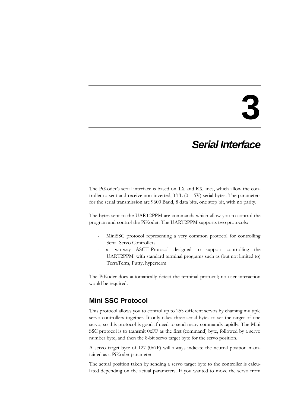### **3**

### *Serial Interface*

The PiKoder's serial interface is based on TX and RX lines, which allow the controller to sent and receive non-inverted, TTL  $(0 - 5V)$  serial bytes. The parameters for the serial transmission are 9600 Baud, 8 data bits, one stop bit, with no parity.

The bytes sent to the UART2PPM are commands which allow you to control the program and control the PiKoder. The UART2PPM supports two protocols:

- MiniSSC protocol representing a very common protocol for controlling Serial Servo Controllers
- a two-way ASCII-Protocol designed to support controlling the UART2PPM with standard terminal programs such as (but not limited to) TerraTerm, Putty, hyperterm

The PiKoder does automatically detect the terminal protocol; no user interaction would be required.

#### **Mini SSC Protocol**

This protocol allows you to control up to 255 different servos by chaining multiple servo controllers together. It only takes three serial bytes to set the target of one servo, so this protocol is good if need to send many commands rapidly. The Mini SSC protocol is to transmit 0xFF as the first (command) byte, followed by a servo number byte, and then the 8-bit servo target byte for the servo position.

A servo target byte of 127 (0x7F) will always indicate the neutral position maintained as a PiKoder parameter.

The actual position taken by sending a servo target byte to the controller is calculated depending on the actual parameters. If you wanted to move the servo from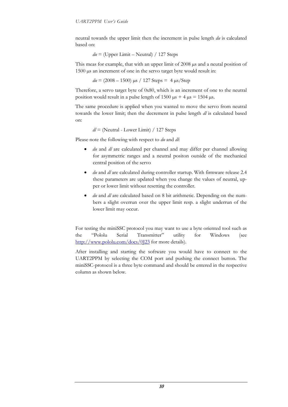neutral towards the upper limit then the increment in pulse length *du* is calculated based on:

*du* = (Upper Limit – Neutral) / 127 Steps

This meas for example, that with an upper limit of 2008  $\mu$ s and a neutal position of 1500 µs an increment of one in the servo target byte would result in:

*du* = (2008 – 1500) µs / 127 Steps = 4 µs/Step

Therefore, a servo target byte of 0x80, which is an increment of one to the neutral position would result in a pulse length of 1500  $\mu$ s + 4  $\mu$ s = 1504  $\mu$ s.

The same procedure is applied when you wanted to move the servo from neutral towards the lower limit; then the decrement in pulse length *dl* is calculated based on:

*dl* = (Neutral - Lower Limit) / 127 Steps

Please note the following with respect to *du* and *dl*:

- *du* and *dl* are calculated per channel and may differ per channel allowing for asymmetric ranges and a neutral positon outside of the mechanical central position of the servo
- *du* and *dl* are calculated during controller startup. With firmware release 2.4 these parameters are updated when you change the values of neutral, upper or lower limit without resetting the controller.
- *du* and *dl* are calculated based on 8 bit arithmetic. Depending on the numbers a slight overrun over the upper limit resp. a slight underrun of the lower limit may occur.

For testing the miniSSC protocol you may want to use a byte oriented tool such as the "[Pololu Serial Transmitter](http://www.pololu.com/docs/0J23)" utility for Windows (see <http://www.pololu.com/docs/0J23> for more details).

After installing and starting the software you would have to connect to the UART2PPM by selecting the COM port and pushing the connect button. The miniSSC-protocol is a three byte command and should be entered in the respective column as shown below.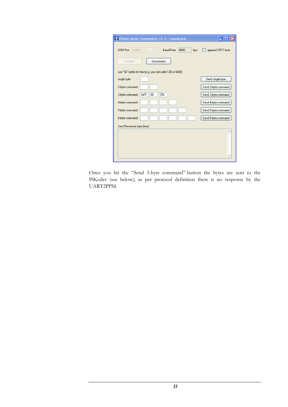| ↑ Pololu Serial Transmitter v1.3 - Connected                        |                     |
|---------------------------------------------------------------------|---------------------|
| <b>Baud Rate</b><br>9600<br>COM Port<br>COM4<br>bps<br>$\checkmark$ | append CRC7 byte    |
| Disconnect<br>Connect                                               |                     |
| use "0x" prefix for hex [e.g. you can write 128 or 0x80]            |                     |
| single byte:                                                        | Send single byte    |
| 2-byte command:                                                     | Send 2-byte command |
| 0xFF<br>254<br>3-byte command:<br>08                                | Send 3-byte command |
| 4-byte command:                                                     | Send 4-byte command |
| 5-byte command:                                                     | Send 5-byte command |
| 6-byte command:                                                     | Send 6-byte command |
| Sent/Received data (hex):                                           |                     |
|                                                                     |                     |
|                                                                     |                     |

Once you hit the "Send 3-byte command"-button the bytes are sent to the PiKoder (see below); as per protocol definition there is no response by the UART2PPM.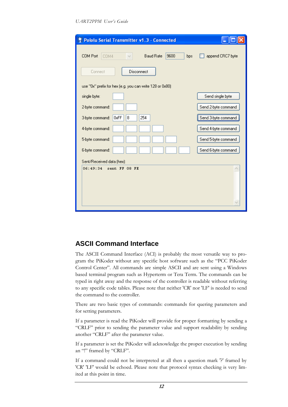| <b>Pololu Serial Transmitter v1.3 - Connected</b>                     |                     |
|-----------------------------------------------------------------------|---------------------|
| 9600<br>COM Port<br><b>Baud Rate</b><br>COM4<br>bps.<br>$\mathcal{A}$ | append CRC7 byte    |
| Connect<br>Disconnect                                                 |                     |
| use "0x" prefix for hex (e.g. you can write 128 or 0x80)              |                     |
| single byte:                                                          | Send single byte    |
| 2-byte command:                                                       | Send 2-byte command |
| 0xFF<br>254<br>3-byte command:<br>8                                   | Send 3-byte command |
| 4-byte command:                                                       | Send 4-byte command |
| 5-byte command:                                                       | Send 5-byte command |
| 6-byte command:                                                       | Send 6-byte command |
| Sent/Received data (hex):                                             |                     |
| 06:49:34 sent FF 08 FE                                                |                     |

#### **ASCII Command Interface**

The ASCII Command Interface (ACI) is probably the most versatile way to program the PiKoder without any specific host software such as the "PCC PiKoder Control Center". All commands are simple ASCII and are sent using a Windows based terminal program such as Hyperterm or Tera Term. The commands can be typed in right away and the response of the controller is readable without referring to any specific code tables. Please note that neither 'CR' nor 'LF' is needed to send the command to the controller.

There are two basic types of commands: commands for quering parameters and for setting parameters.

If a parameter is read the PiKoder will provide for proper formatting by sending a "CRLF" prior to sending the parameter value and support readability by sending another "CRLF" after the parameter value.

If a parameter is set the PiKoder will acknowledge the proper execution by sending an "!" framed by "CRLF".

If a command could not be interpreted at all then a question mark '?' framed by 'CR' 'LF' would be echoed. Please note that protocol syntax checking is very limited at this point in time.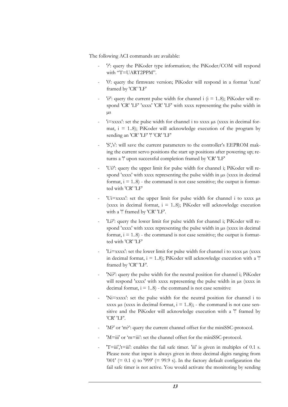The following ACI commands are available:

- '?': query the PiKoder type information; the PiKoder/COM will respond with "T=UART2PPM".
- '0': query the firmware version; PiKoder will respond in a format 'n.nn' framed by 'CR' 'LF'
- 'i?': query the current pulse width for channel i  $(i = 1..8)$ ; PiKoder will respond 'CR' 'LF' 'xxxx' 'CR' 'LF' with xxxx representing the pulse width in µs
- 'i=xxxx': set the pulse width for channel i to xxxx us (xxxx in decimal format,  $i = 1.8$ ; PiKoder will acknowledge execution of the program by sending an 'CR' 'LF' '!' 'CR' 'LF'
- 'S','s': will save the current parameters to the controller's EEPROM making the current servo positions the start up positions after powering up; returns a '!' upon successful completion framed by 'CR' 'LF'
- 'Ui?': query the upper limit for pulse width for channel i; PiKoder will respond 'xxxx' with xxxx representing the pulse width in  $\mu$ s (xxxx in decimal format,  $i = 1..8$ ) - the command is not case sensitive; the output is formatted with 'CR' 'LF'
- 'Ui=xxxx': set the upper limit for pulse width for channel i to xxxx µs (xxxx in decimal format,  $i = 1..8$ ); PiKoder will acknowledge execution with a '!' framed by 'CR' 'LF'.
- 'Li?': query the lower limit for pulse width for channel i; PiKoder will respond 'xxxx' with xxxx representing the pulse width in  $\mu$ s (xxxx in decimal format,  $i = 1..8$ ) - the command is not case sensitive; the output is formatted with 'CR' 'LF'
- 'Li=xxxx': set the lower limit for pulse width for channel i to xxxx µs (xxxx in decimal format,  $i = 1..8$ ); PiKoder will acknowledge execution with a "! framed by 'CR' 'LF'.
- 'Ni?': query the pulse width for the neutral position for channel i; PiKoder will respond 'xxxx' with xxxx representing the pulse width in  $\mu s$  (xxxx in decimal format,  $i = 1..8$ ) - the command is not case sensitive
- 'Ni=xxxx': set the pulse width for the neutral position for channel i to xxxx  $\mu$ s (xxxx in decimal format, i = 1..8); - the command is not case sensitive and the PiKoder will acknowledge execution with a '!' framed by 'CR' 'LF'.
- 'M?' or 'm?': query the current channel offset for the miniSSC-protocol.
- 'M=iii' or 'm=iii': set the channel offset for the miniSSC-protocol.
- $'T=iii$ ,' $t=iii$ : enables the fail safe timer. 'iii' is given in multiples of 0.1 s. Please note that input is always given in three decimal digits ranging from '001' (=  $0.1$  s) to '999' (= 99.9 s). In the factory default configuration the fail safe timer is not active. You would activate the monitoring by sending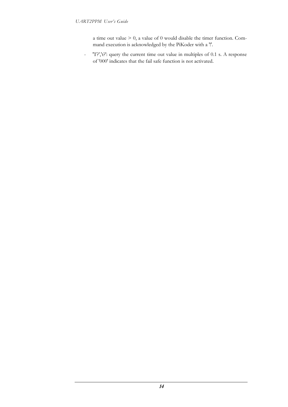a time out value > 0, a value of 0 would disable the timer function. Command execution is acknowledged by the PiKoder with a '!'.

- 'T?','t?': query the current time out value in multiples of 0.1 s. A response of '000' indicates that the fail safe function is not activated.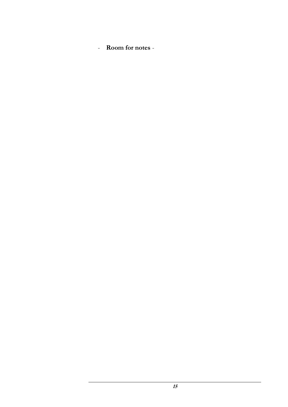- **Room for notes** -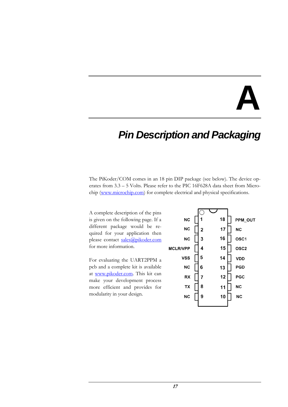# **A**

### *Pin Description and Packaging*

The PiKoder/COM comes in an 18 pin DIP package (see below). The device operates from 3.3 – 5 Volts. Please refer to the PIC 16F628A data sheet from Micro-chip [\(www.microchip.com\)](http://www.microchip.com/) for complete electrical and physical specifications.

A complete description of the pins is given on the following page. If a different package would be required for your application then please contact [sales@pikoder.com](mailto:sales@pikoder.com) for more information.

For evaluating the UART2PPM a pcb and a complete kit is available at [www.pikoder.com.](http://www.pikoder.com/) This kit can make your development process more efficient and provides for modularity in your design.

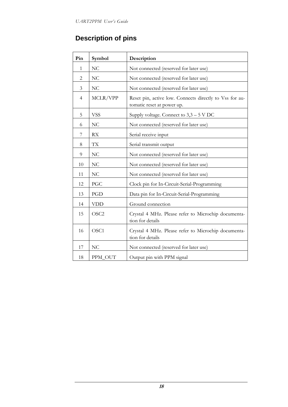### **Description of pins**

| Pin            | Symbol           | Description                                                                           |
|----------------|------------------|---------------------------------------------------------------------------------------|
| $\mathbf{1}$   | NC               | Not connected (reserved for later use)                                                |
| $\overline{2}$ | NC               | Not connected (reserved for later use)                                                |
| 3              | N <sub>C</sub>   | Not connected (reserved for later use)                                                |
| $\overline{4}$ | MCLR/VPP         | Reset pin, active low. Connects directly to Vss for au-<br>tomatic reset at power up. |
| 5              | <b>VSS</b>       | Supply voltage. Connect to $3,3-5$ V DC                                               |
| 6              | N <sub>C</sub>   | Not connected (reserved for later use)                                                |
| 7              | RX               | Serial receive input                                                                  |
| 8              | <b>TX</b>        | Serial transmit output                                                                |
| 9              | N <sub>C</sub>   | Not connected (reserved for later use)                                                |
| 10             | N <sub>C</sub>   | Not connected (reserved for later use)                                                |
| 11             | N <sub>C</sub>   | Not connected (reserved for later use)                                                |
| 12             | PGC              | Clock pin for In-Circuit-Serial-Programming                                           |
| 13             | PGD              | Data pin for In-Circuit-Serial-Programming                                            |
| 14             | <b>VDD</b>       | Ground connection                                                                     |
| 15             | OSC <sub>2</sub> | Crystal 4 MHz. Please refer to Microchip documenta-<br>tion for details               |
| 16             | OSC1             | Crystal 4 MHz. Please refer to Microchip documenta-<br>tion for details               |
| 17             | N <sub>C</sub>   | Not connected (reserved for later use)                                                |
| 18             | PPM_OUT          | Output pin with PPM signal                                                            |